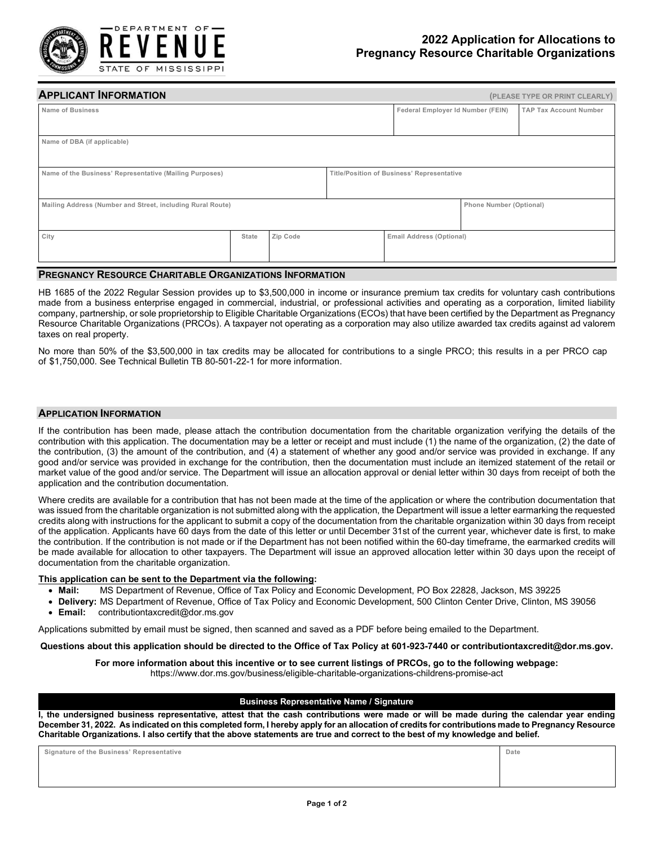

| <b>APPLICANT INFORMATION</b>                               |       |          |  |                                            |                         | (PLEASE TYPE OR PRINT CLEARLY) |  |
|------------------------------------------------------------|-------|----------|--|--------------------------------------------|-------------------------|--------------------------------|--|
| <b>Name of Business</b>                                    |       |          |  | Federal Employer Id Number (FEIN)          |                         | <b>TAP Tax Account Number</b>  |  |
| Name of DBA (if applicable)                                |       |          |  |                                            |                         |                                |  |
| Name of the Business' Representative (Mailing Purposes)    |       |          |  | Title/Position of Business' Representative |                         |                                |  |
| Mailing Address (Number and Street, including Rural Route) |       |          |  |                                            | Phone Number (Optional) |                                |  |
| City                                                       | State | Zip Code |  | Email Address (Optional)                   |                         |                                |  |

### **PREGNANCY RESOURCE CHARITABLE ORGANIZATIONS INFORMATION**

HB 1685 of the 2022 Regular Session provides up to \$3,500,000 in income or insurance premium tax credits for voluntary cash contributions made from a business enterprise engaged in commercial, industrial, or professional activities and operating as a corporation, limited liability company, partnership, or sole proprietorship to Eligible Charitable Organizations (ECOs) that have been certified by the Department as Pregnancy Resource Charitable Organizations (PRCOs). A taxpayer not operating as a corporation may also utilize awarded tax credits against ad valorem taxes on real property.

No more than 50% of the \$3,500,000 in tax credits may be allocated for contributions to a single PRCO; this results in a per PRCO cap of \$1,750,000. See Technical Bulletin TB 80-501-22-1 for more information.

### **APPLICATION INFORMATION**

If the contribution has been made, please attach the contribution documentation from the charitable organization verifying the details of the contribution with this application. The documentation may be a letter or receipt and must include (1) the name of the organization, (2) the date of the contribution, (3) the amount of the contribution, and (4) a statement of whether any good and/or service was provided in exchange. If any good and/or service was provided in exchange for the contribution, then the documentation must include an itemized statement of the retail or market value of the good and/or service. The Department will issue an allocation approval or denial letter within 30 days from receipt of both the application and the contribution documentation.

Where credits are available for a contribution that has not been made at the time of the application or where the contribution documentation that was issued from the charitable organization is not submitted along with the application, the Department will issue a letter earmarking the requested credits along with instructions for the applicant to submit a copy of the documentation from the charitable organization within 30 days from receipt of the application. Applicants have 60 days from the date of this letter or until December 31st of the current year, whichever date is first, to make the contribution. If the contribution is not made or if the Department has not been notified within the 60-day timeframe, the earmarked credits will be made available for allocation to other taxpayers. The Department will issue an approved allocation letter within 30 days upon the receipt of documentation from the charitable organization.

#### **This application can be sent to the Department via the following:**

- **Mail:** MS Department of Revenue, Office of Tax Policy and Economic Development, PO Box 22828, Jackson, MS 39225
- **Delivery:** MS Department of Revenue, Office of Tax Policy and Economic Development, 500 Clinton Center Drive, Clinton, MS 39056
- **Email:** contributiontaxcredit@dor.ms.gov

Applications submitted by email must be signed, then scanned and saved as a PDF before being emailed to the Department.

**Questions about this application should be directed to the Office of Tax Policy at 601-923-7440 or contributiontaxcredit@dor.ms.gov.** 

## **For more information about this incentive or to see current listings of PRCOs, go to the following webpage:**

https://www.dor.ms.gov/business/eligible-charitable-organizations-childrens-promise-act

### **Business Representative Name / Signature**

**I, the undersigned business representative, attest that the cash contributions were made or will be made during the calendar year ending December 31, 2022. As indicated on this completed form, I hereby apply for an allocation of credits for contributions made to Pregnancy Resource Charitable Organizations. I also certify that the above statements are true and correct to the best of my knowledge and belief.** 

**Signature of the Business' Representative Date**